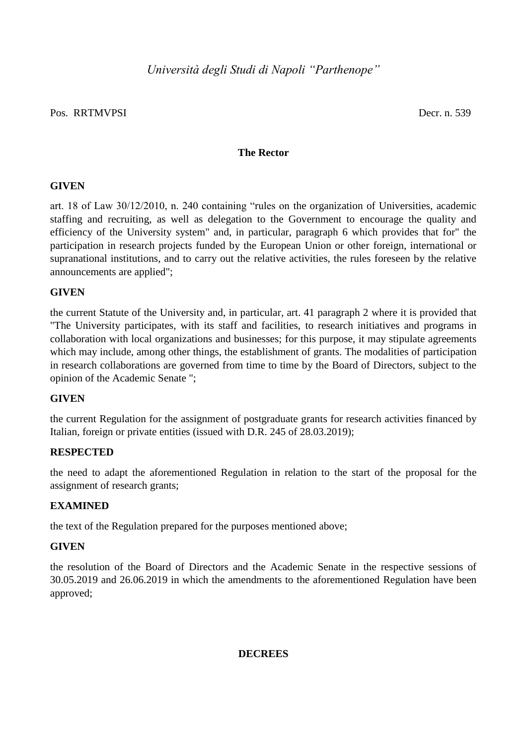# Pos. RRTMVPSI Decr. n. 539

# **The Rector**

# **GIVEN**

art. 18 of Law 30/12/2010, n. 240 containing "rules on the organization of Universities, academic staffing and recruiting, as well as delegation to the Government to encourage the quality and efficiency of the University system" and, in particular, paragraph 6 which provides that for" the participation in research projects funded by the European Union or other foreign, international or supranational institutions, and to carry out the relative activities, the rules foreseen by the relative announcements are applied";

# **GIVEN**

the current Statute of the University and, in particular, art. 41 paragraph 2 where it is provided that "The University participates, with its staff and facilities, to research initiatives and programs in collaboration with local organizations and businesses; for this purpose, it may stipulate agreements which may include, among other things, the establishment of grants. The modalities of participation in research collaborations are governed from time to time by the Board of Directors, subject to the opinion of the Academic Senate ";

# **GIVEN**

the current Regulation for the assignment of postgraduate grants for research activities financed by Italian, foreign or private entities (issued with D.R. 245 of 28.03.2019);

## **RESPECTED**

the need to adapt the aforementioned Regulation in relation to the start of the proposal for the assignment of research grants;

## **EXAMINED**

the text of the Regulation prepared for the purposes mentioned above;

## **GIVEN**

the resolution of the Board of Directors and the Academic Senate in the respective sessions of 30.05.2019 and 26.06.2019 in which the amendments to the aforementioned Regulation have been approved;

## **DECREES**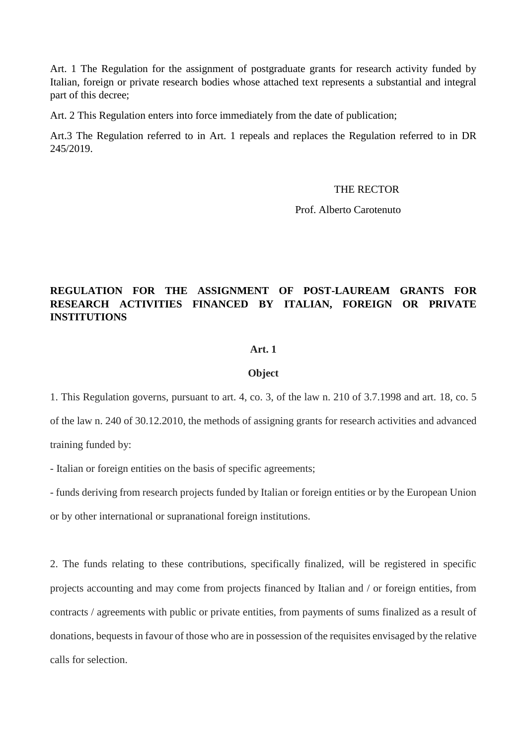Art. 1 The Regulation for the assignment of postgraduate grants for research activity funded by Italian, foreign or private research bodies whose attached text represents a substantial and integral part of this decree;

Art. 2 This Regulation enters into force immediately from the date of publication;

Art.3 The Regulation referred to in Art. 1 repeals and replaces the Regulation referred to in DR 245/2019.

## THE RECTOR

Prof. Alberto Carotenuto

# **REGULATION FOR THE ASSIGNMENT OF POST-LAUREAM GRANTS FOR RESEARCH ACTIVITIES FINANCED BY ITALIAN, FOREIGN OR PRIVATE INSTITUTIONS**

#### **Art. 1**

### **Object**

1. This Regulation governs, pursuant to art. 4, co. 3, of the law n. 210 of 3.7.1998 and art. 18, co. 5

of the law n. 240 of 30.12.2010, the methods of assigning grants for research activities and advanced training funded by:

- Italian or foreign entities on the basis of specific agreements;

- funds deriving from research projects funded by Italian or foreign entities or by the European Union or by other international or supranational foreign institutions.

2. The funds relating to these contributions, specifically finalized, will be registered in specific projects accounting and may come from projects financed by Italian and / or foreign entities, from contracts / agreements with public or private entities, from payments of sums finalized as a result of donations, bequests in favour of those who are in possession of the requisites envisaged by the relative calls for selection.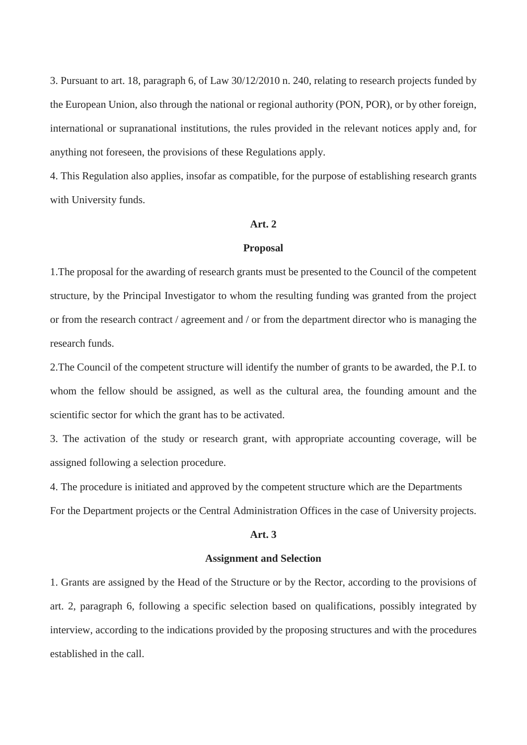3. Pursuant to art. 18, paragraph 6, of Law 30/12/2010 n. 240, relating to research projects funded by the European Union, also through the national or regional authority (PON, POR), or by other foreign, international or supranational institutions, the rules provided in the relevant notices apply and, for anything not foreseen, the provisions of these Regulations apply.

4. This Regulation also applies, insofar as compatible, for the purpose of establishing research grants with University funds.

### **Art. 2**

#### **Proposal**

1.The proposal for the awarding of research grants must be presented to the Council of the competent structure, by the Principal Investigator to whom the resulting funding was granted from the project or from the research contract / agreement and / or from the department director who is managing the research funds.

2.The Council of the competent structure will identify the number of grants to be awarded, the P.I. to whom the fellow should be assigned, as well as the cultural area, the founding amount and the scientific sector for which the grant has to be activated.

3. The activation of the study or research grant, with appropriate accounting coverage, will be assigned following a selection procedure.

4. The procedure is initiated and approved by the competent structure which are the Departments For the Department projects or the Central Administration Offices in the case of University projects.

#### **Art. 3**

#### **Assignment and Selection**

1. Grants are assigned by the Head of the Structure or by the Rector, according to the provisions of art. 2, paragraph 6, following a specific selection based on qualifications, possibly integrated by interview, according to the indications provided by the proposing structures and with the procedures established in the call.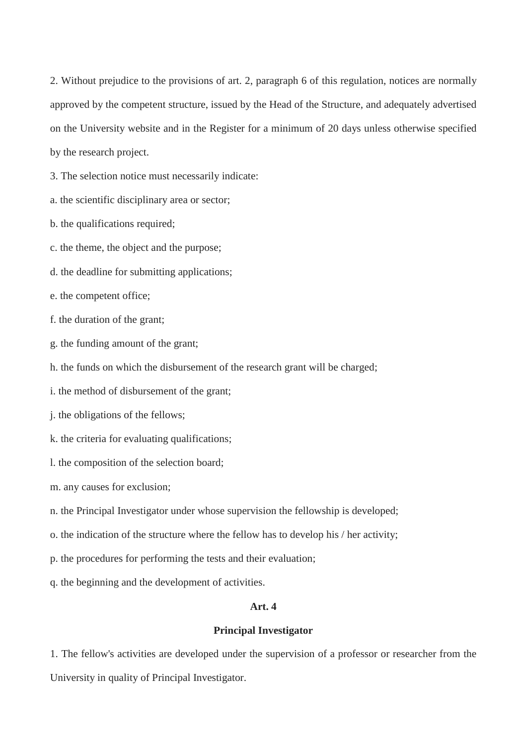2. Without prejudice to the provisions of art. 2, paragraph 6 of this regulation, notices are normally approved by the competent structure, issued by the Head of the Structure, and adequately advertised on the University website and in the Register for a minimum of 20 days unless otherwise specified by the research project.

3. The selection notice must necessarily indicate:

- a. the scientific disciplinary area or sector;
- b. the qualifications required;
- c. the theme, the object and the purpose;
- d. the deadline for submitting applications;
- e. the competent office;
- f. the duration of the grant;
- g. the funding amount of the grant;
- h. the funds on which the disbursement of the research grant will be charged;
- i. the method of disbursement of the grant;
- j. the obligations of the fellows;
- k. the criteria for evaluating qualifications;
- l. the composition of the selection board;
- m. any causes for exclusion;
- n. the Principal Investigator under whose supervision the fellowship is developed;
- o. the indication of the structure where the fellow has to develop his / her activity;
- p. the procedures for performing the tests and their evaluation;
- q. the beginning and the development of activities.

# **Art. 4**

## **Principal Investigator**

1. The fellow's activities are developed under the supervision of a professor or researcher from the University in quality of Principal Investigator.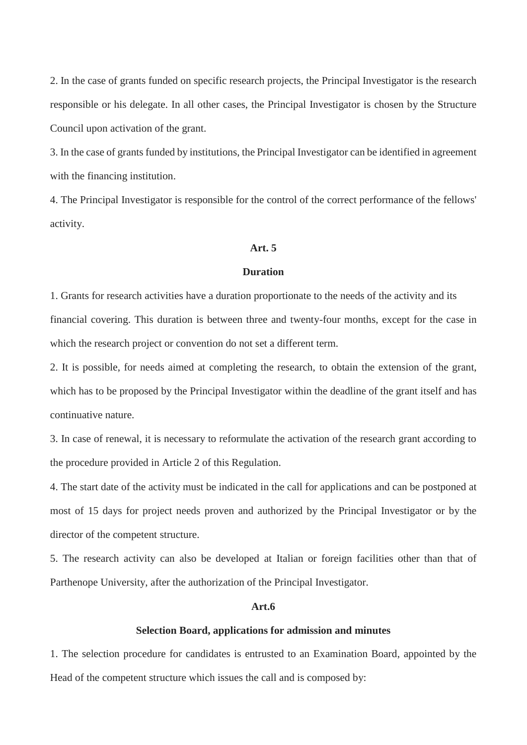2. In the case of grants funded on specific research projects, the Principal Investigator is the research responsible or his delegate. In all other cases, the Principal Investigator is chosen by the Structure Council upon activation of the grant.

3. In the case of grants funded by institutions, the Principal Investigator can be identified in agreement with the financing institution.

4. The Principal Investigator is responsible for the control of the correct performance of the fellows' activity.

## **Art. 5**

#### **Duration**

1. Grants for research activities have a duration proportionate to the needs of the activity and its financial covering. This duration is between three and twenty-four months, except for the case in which the research project or convention do not set a different term.

2. It is possible, for needs aimed at completing the research, to obtain the extension of the grant, which has to be proposed by the Principal Investigator within the deadline of the grant itself and has continuative nature.

3. In case of renewal, it is necessary to reformulate the activation of the research grant according to the procedure provided in Article 2 of this Regulation.

4. The start date of the activity must be indicated in the call for applications and can be postponed at most of 15 days for project needs proven and authorized by the Principal Investigator or by the director of the competent structure.

5. The research activity can also be developed at Italian or foreign facilities other than that of Parthenope University, after the authorization of the Principal Investigator.

#### **Art.6**

## **Selection Board, applications for admission and minutes**

1. The selection procedure for candidates is entrusted to an Examination Board, appointed by the Head of the competent structure which issues the call and is composed by: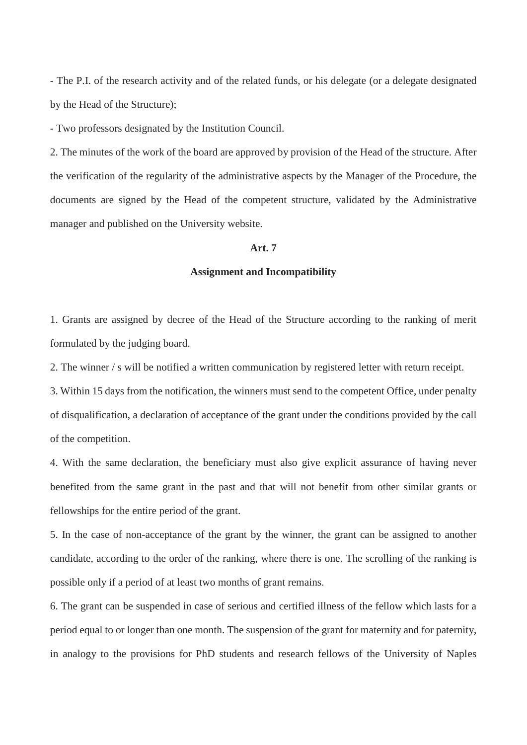- The P.I. of the research activity and of the related funds, or his delegate (or a delegate designated by the Head of the Structure);

- Two professors designated by the Institution Council.

2. The minutes of the work of the board are approved by provision of the Head of the structure. After the verification of the regularity of the administrative aspects by the Manager of the Procedure, the documents are signed by the Head of the competent structure, validated by the Administrative manager and published on the University website.

# **Art. 7**

#### **Assignment and Incompatibility**

1. Grants are assigned by decree of the Head of the Structure according to the ranking of merit formulated by the judging board.

2. The winner / s will be notified a written communication by registered letter with return receipt.

3. Within 15 days from the notification, the winners must send to the competent Office, under penalty of disqualification, a declaration of acceptance of the grant under the conditions provided by the call of the competition.

4. With the same declaration, the beneficiary must also give explicit assurance of having never benefited from the same grant in the past and that will not benefit from other similar grants or fellowships for the entire period of the grant.

5. In the case of non-acceptance of the grant by the winner, the grant can be assigned to another candidate, according to the order of the ranking, where there is one. The scrolling of the ranking is possible only if a period of at least two months of grant remains.

6. The grant can be suspended in case of serious and certified illness of the fellow which lasts for a period equal to or longer than one month. The suspension of the grant for maternity and for paternity, in analogy to the provisions for PhD students and research fellows of the University of Naples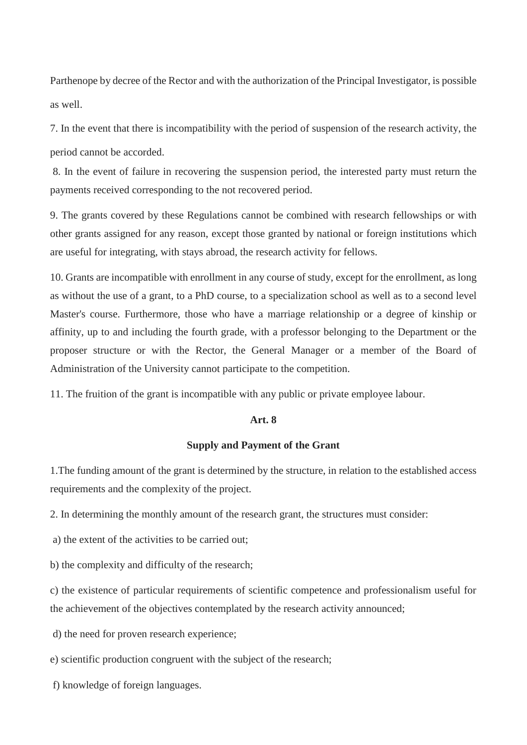Parthenope by decree of the Rector and with the authorization of the Principal Investigator, is possible as well.

7. In the event that there is incompatibility with the period of suspension of the research activity, the period cannot be accorded.

8. In the event of failure in recovering the suspension period, the interested party must return the payments received corresponding to the not recovered period.

9. The grants covered by these Regulations cannot be combined with research fellowships or with other grants assigned for any reason, except those granted by national or foreign institutions which are useful for integrating, with stays abroad, the research activity for fellows.

10. Grants are incompatible with enrollment in any course of study, except for the enrollment, as long as without the use of a grant, to a PhD course, to a specialization school as well as to a second level Master's course. Furthermore, those who have a marriage relationship or a degree of kinship or affinity, up to and including the fourth grade, with a professor belonging to the Department or the proposer structure or with the Rector, the General Manager or a member of the Board of Administration of the University cannot participate to the competition.

11. The fruition of the grant is incompatible with any public or private employee labour.

#### **Art. 8**

### **Supply and Payment of the Grant**

1.The funding amount of the grant is determined by the structure, in relation to the established access requirements and the complexity of the project.

2. In determining the monthly amount of the research grant, the structures must consider:

a) the extent of the activities to be carried out;

b) the complexity and difficulty of the research;

c) the existence of particular requirements of scientific competence and professionalism useful for the achievement of the objectives contemplated by the research activity announced;

d) the need for proven research experience;

- e) scientific production congruent with the subject of the research;
- f) knowledge of foreign languages.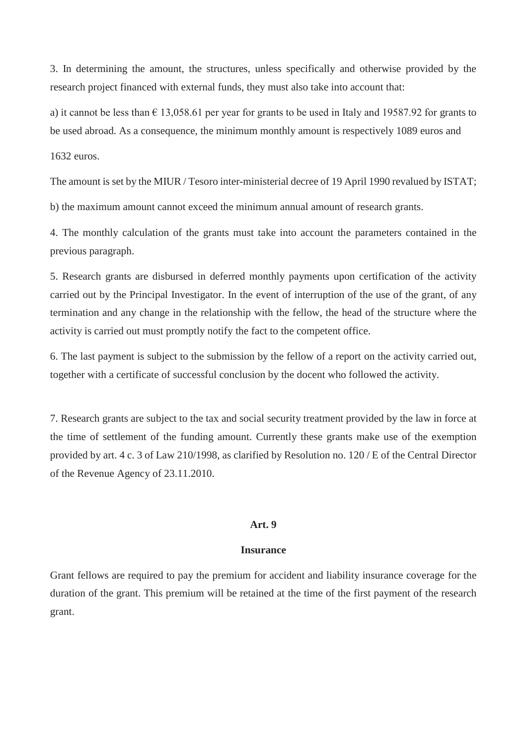3. In determining the amount, the structures, unless specifically and otherwise provided by the research project financed with external funds, they must also take into account that:

a) it cannot be less than  $\epsilon$  13,058.61 per year for grants to be used in Italy and 19587.92 for grants to be used abroad. As a consequence, the minimum monthly amount is respectively 1089 euros and

1632 euros.

The amount is set by the MIUR / Tesoro inter-ministerial decree of 19 April 1990 revalued by ISTAT;

b) the maximum amount cannot exceed the minimum annual amount of research grants.

4. The monthly calculation of the grants must take into account the parameters contained in the previous paragraph.

5. Research grants are disbursed in deferred monthly payments upon certification of the activity carried out by the Principal Investigator. In the event of interruption of the use of the grant, of any termination and any change in the relationship with the fellow, the head of the structure where the activity is carried out must promptly notify the fact to the competent office.

6. The last payment is subject to the submission by the fellow of a report on the activity carried out, together with a certificate of successful conclusion by the docent who followed the activity.

7. Research grants are subject to the tax and social security treatment provided by the law in force at the time of settlement of the funding amount. Currently these grants make use of the exemption provided by art. 4 c. 3 of Law 210/1998, as clarified by Resolution no. 120 / E of the Central Director of the Revenue Agency of 23.11.2010.

### **Art. 9**

### **Insurance**

Grant fellows are required to pay the premium for accident and liability insurance coverage for the duration of the grant. This premium will be retained at the time of the first payment of the research grant.